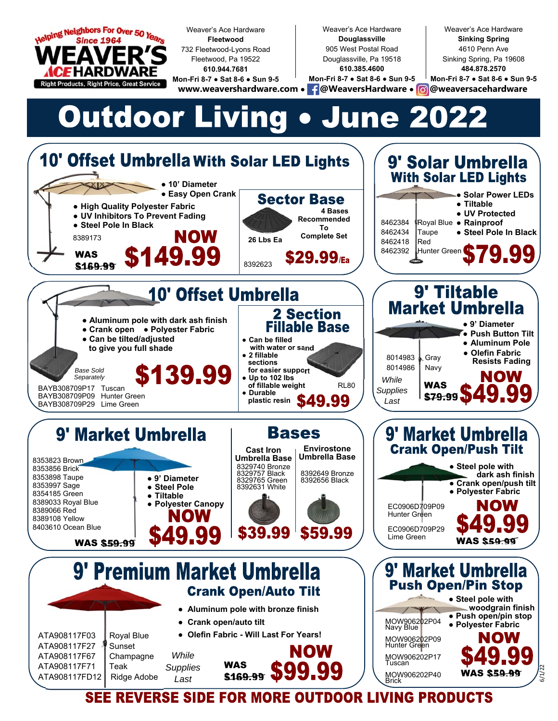